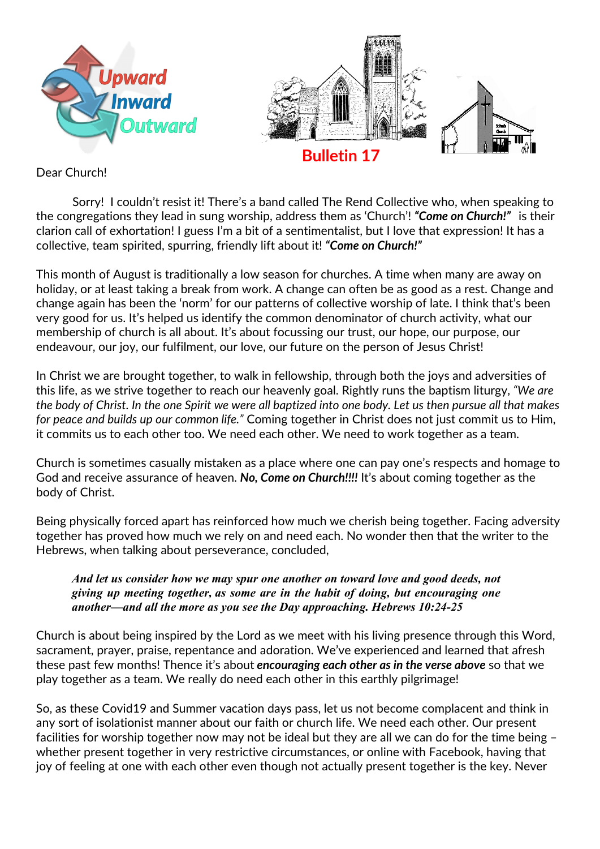

Dear Church!

Sorry! I couldn't resist it! There's a band called The Rend Collective who, when speaking to the congregations they lead in sung worship, address them as 'Church'! *"Come on Church!"* is their clarion call of exhortation! I guess I'm a bit of a sentimentalist, but I love that expression! It has a collective, team spirited, spurring, friendly lift about it! *"Come on Church!"* 

This month of August is traditionally a low season for churches. A time when many are away on holiday, or at least taking a break from work. A change can often be as good as a rest. Change and change again has been the 'norm' for our patterns of collective worship of late. I think that's been very good for us. It's helped us identify the common denominator of church activity, what our membership of church is all about. It's about focussing our trust, our hope, our purpose, our endeavour, our joy, our fulfilment, our love, our future on the person of Jesus Christ!

In Christ we are brought together, to walk in fellowship, through both the joys and adversities of this life, as we strive together to reach our heavenly goal. Rightly runs the baptism liturgy, *"We are the body of Christ. In the one Spirit we were all baptized into one body. Let us then pursue all that makes for peace and builds up our common life."* Coming together in Christ does not just commit us to Him, it commits us to each other too. We need each other. We need to work together as a team.

Church is sometimes casually mistaken as a place where one can pay one's respects and homage to God and receive assurance of heaven. *No, Come on Church!!!!* It's about coming together as the body of Christ.

Being physically forced apart has reinforced how much we cherish being together. Facing adversity together has proved how much we rely on and need each. No wonder then that the writer to the Hebrews, when talking about perseverance, concluded,

*And let us consider how we may spur one another on toward love and good deeds, not giving up meeting together, as some are in the habit of doing, but encouraging one another—and all the more as you see the Day approaching. Hebrews 10:24-25*

Church is about being inspired by the Lord as we meet with his living presence through this Word, sacrament, prayer, praise, repentance and adoration. We've experienced and learned that afresh these past few months! Thence it's about *encouraging each other as in the verse above* so that we play together as a team. We really do need each other in this earthly pilgrimage!

So, as these Covid19 and Summer vacation days pass, let us not become complacent and think in any sort of isolationist manner about our faith or church life. We need each other. Our present facilities for worship together now may not be ideal but they are all we can do for the time being – whether present together in very restrictive circumstances, or online with Facebook, having that joy of feeling at one with each other even though not actually present together is the key. Never